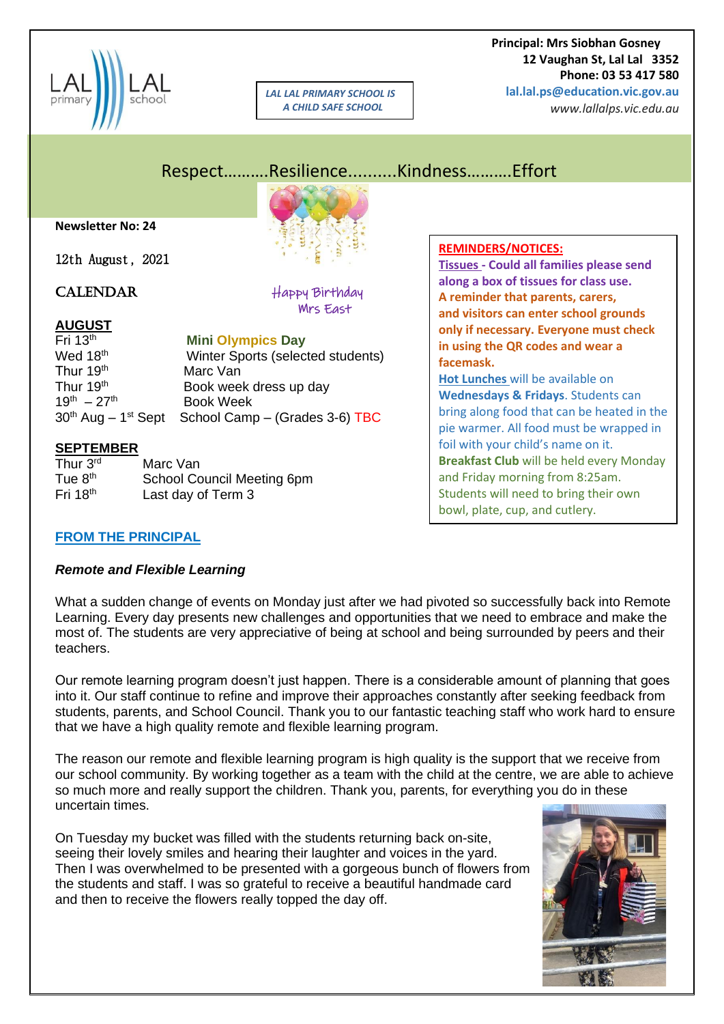

*LAL LAL PRIMARY SCHOOL IS A CHILD SAFE SCHOOL*

 **Principal: Mrs Siobhan Gosney 12 Vaughan St, Lal Lal 3352 Phone: 03 53 417 580 lal.lal.ps@education.vic.gov.au**

*www.lallalps.vic.edu.au* 

# Respect……….Resilience..........Kindness……….Effort

**Newsletter No: 24**

12th August, 2021

CALENDAR Happy Birthday Mrs East

# **AUGUST**

Fri 13th **Mini Olympics Day** Wed 18<sup>th</sup> Winter Sports (selected students) Thur 19<sup>th</sup> Marc Van Thur 19<sup>th</sup> Book week dress up day  $19^{th} - 27^{th}$  Book Week 30<sup>th</sup> Aug - 1<sup>st</sup> Sept School Camp - (Grades 3-6) TBC

#### **SEPTEMBER**

Thur 3<sup>rd</sup> Marc Van Tue 8<sup>th</sup> School Council Meeting 6pm<br>Fri 18<sup>th</sup> Last day of Term 3 Last day of Term 3

# **REMINDERS/NOTICES:**

**Tissues - Could all families please send along a box of tissues for class use. A reminder that parents, carers, and visitors can enter school grounds only if necessary. Everyone must check in using the QR codes and wear a facemask.**

**Hot Lunches** will be available on **Wednesdays & Fridays**. Students can bring along food that can be heated in the pie warmer. All food must be wrapped in foil with your child's name on it. **Breakfast Club** will be held every Monday and Friday morning from 8:25am. Students will need to bring their own bowl, plate, cup, and cutlery.

#### **FROM THE PRINCIPAL**

#### *Remote and Flexible Learning*

What a sudden change of events on Monday just after we had pivoted so successfully back into Remote Learning. Every day presents new challenges and opportunities that we need to embrace and make the most of. The students are very appreciative of being at school and being surrounded by peers and their teachers.

Our remote learning program doesn't just happen. There is a considerable amount of planning that goes into it. Our staff continue to refine and improve their approaches constantly after seeking feedback from students, parents, and School Council. Thank you to our fantastic teaching staff who work hard to ensure that we have a high quality remote and flexible learning program.

The reason our remote and flexible learning program is high quality is the support that we receive from our school community. By working together as a team with the child at the centre, we are able to achieve so much more and really support the children. Thank you, parents, for everything you do in these uncertain times.

On Tuesday my bucket was filled with the students returning back on-site, seeing their lovely smiles and hearing their laughter and voices in the yard. Then I was overwhelmed to be presented with a gorgeous bunch of flowers from the students and staff. I was so grateful to receive a beautiful handmade card and then to receive the flowers really topped the day off.

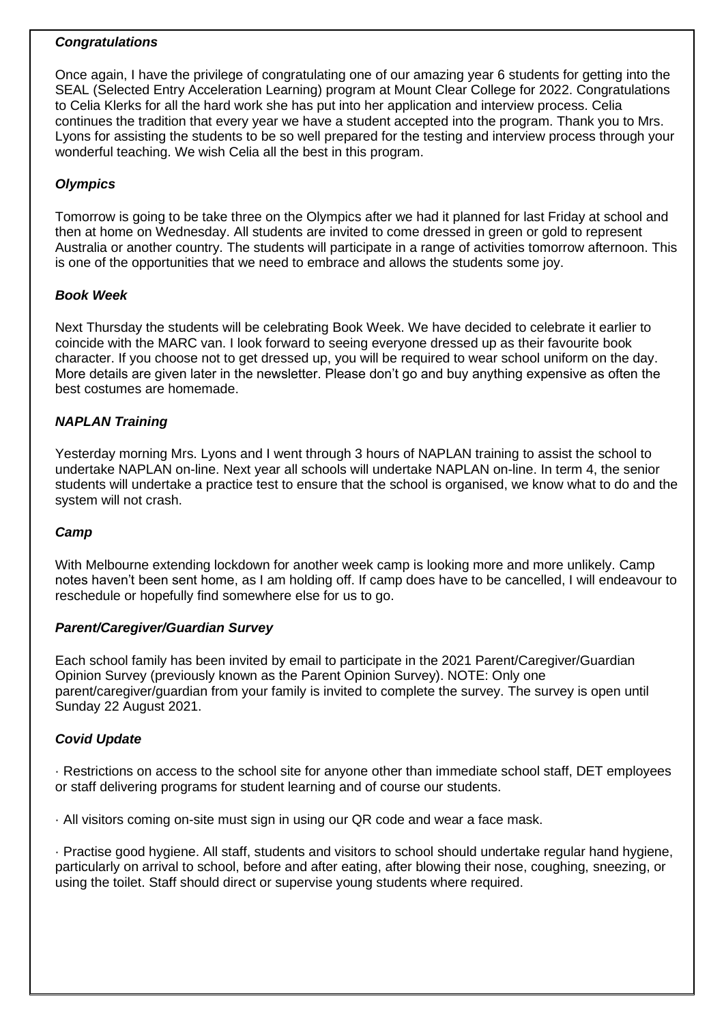#### *Congratulations*

Once again, I have the privilege of congratulating one of our amazing year 6 students for getting into the SEAL (Selected Entry Acceleration Learning) program at Mount Clear College for 2022. Congratulations to Celia Klerks for all the hard work she has put into her application and interview process. Celia continues the tradition that every year we have a student accepted into the program. Thank you to Mrs. Lyons for assisting the students to be so well prepared for the testing and interview process through your wonderful teaching. We wish Celia all the best in this program.

### *Olympics*

Tomorrow is going to be take three on the Olympics after we had it planned for last Friday at school and then at home on Wednesday. All students are invited to come dressed in green or gold to represent Australia or another country. The students will participate in a range of activities tomorrow afternoon. This is one of the opportunities that we need to embrace and allows the students some joy.

#### *Book Week*

Next Thursday the students will be celebrating Book Week. We have decided to celebrate it earlier to coincide with the MARC van. I look forward to seeing everyone dressed up as their favourite book character. If you choose not to get dressed up, you will be required to wear school uniform on the day. More details are given later in the newsletter. Please don't go and buy anything expensive as often the best costumes are homemade.

#### *NAPLAN Training*

Yesterday morning Mrs. Lyons and I went through 3 hours of NAPLAN training to assist the school to undertake NAPLAN on-line. Next year all schools will undertake NAPLAN on-line. In term 4, the senior students will undertake a practice test to ensure that the school is organised, we know what to do and the system will not crash.

#### *Camp*

With Melbourne extending lockdown for another week camp is looking more and more unlikely. Camp notes haven't been sent home, as I am holding off. If camp does have to be cancelled, I will endeavour to reschedule or hopefully find somewhere else for us to go.

#### *Parent/Caregiver/Guardian Survey*

Each school family has been invited by email to participate in the 2021 Parent/Caregiver/Guardian Opinion Survey (previously known as the Parent Opinion Survey). NOTE: Only one parent/caregiver/guardian from your family is invited to complete the survey. The survey is open until Sunday 22 August 2021.

#### *Covid Update*

· Restrictions on access to the school site for anyone other than immediate school staff, DET employees or staff delivering programs for student learning and of course our students.

· All visitors coming on-site must sign in using our QR code and wear a face mask.

· Practise good hygiene. All staff, students and visitors to school should undertake regular hand hygiene, particularly on arrival to school, before and after eating, after blowing their nose, coughing, sneezing, or using the toilet. Staff should direct or supervise young students where required.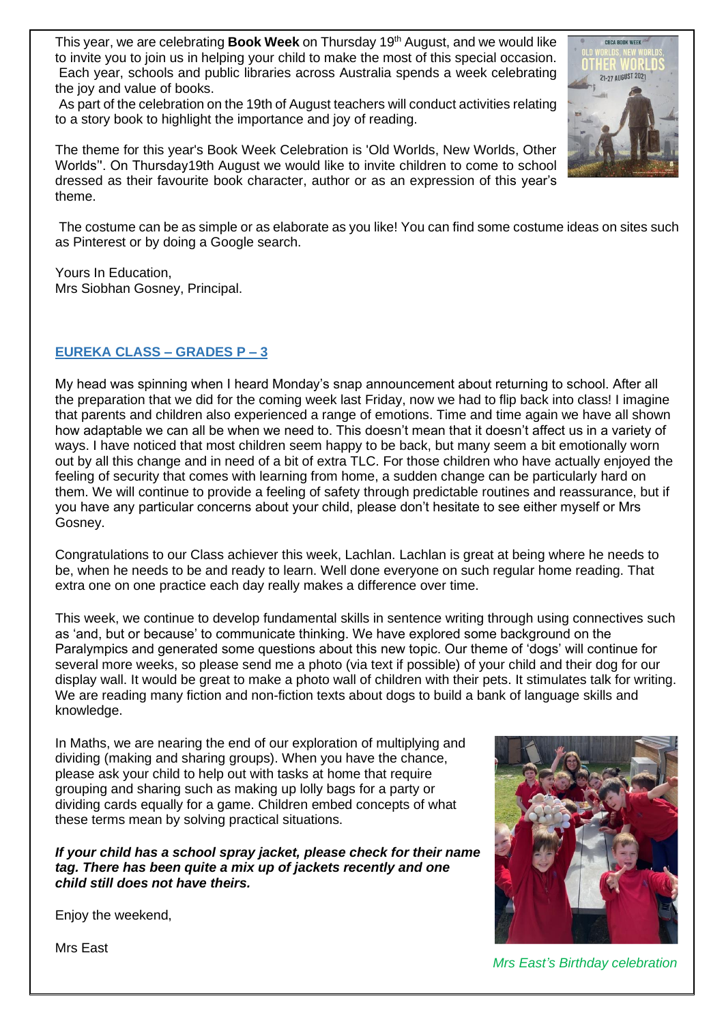This year, we are celebrating **Book Week** on Thursday 19<sup>th</sup> August, and we would like to invite you to join us in helping your child to make the most of this special occasion. Each year, schools and public libraries across Australia spends a week celebrating the joy and value of books.

As part of the celebration on the 19th of August teachers will conduct activities relating to a story book to highlight the importance and joy of reading.

The theme for this year's Book Week Celebration is 'Old Worlds, New Worlds, Other Worlds''. On Thursday19th August we would like to invite children to come to school dressed as their favourite book character, author or as an expression of this year's theme.



Yours In Education, Mrs Siobhan Gosney, Principal.

#### **EUREKA CLASS – GRADES P – 3**

My head was spinning when I heard Monday's snap announcement about returning to school. After all the preparation that we did for the coming week last Friday, now we had to flip back into class! I imagine that parents and children also experienced a range of emotions. Time and time again we have all shown how adaptable we can all be when we need to. This doesn't mean that it doesn't affect us in a variety of ways. I have noticed that most children seem happy to be back, but many seem a bit emotionally worn out by all this change and in need of a bit of extra TLC. For those children who have actually enjoyed the feeling of security that comes with learning from home, a sudden change can be particularly hard on them. We will continue to provide a feeling of safety through predictable routines and reassurance, but if you have any particular concerns about your child, please don't hesitate to see either myself or Mrs Gosney.

Congratulations to our Class achiever this week, Lachlan. Lachlan is great at being where he needs to be, when he needs to be and ready to learn. Well done everyone on such regular home reading. That extra one on one practice each day really makes a difference over time.

This week, we continue to develop fundamental skills in sentence writing through using connectives such as 'and, but or because' to communicate thinking. We have explored some background on the Paralympics and generated some questions about this new topic. Our theme of 'dogs' will continue for several more weeks, so please send me a photo (via text if possible) of your child and their dog for our display wall. It would be great to make a photo wall of children with their pets. It stimulates talk for writing. We are reading many fiction and non-fiction texts about dogs to build a bank of language skills and knowledge.

In Maths, we are nearing the end of our exploration of multiplying and dividing (making and sharing groups). When you have the chance, please ask your child to help out with tasks at home that require grouping and sharing such as making up lolly bags for a party or dividing cards equally for a game. Children embed concepts of what these terms mean by solving practical situations.

*If your child has a school spray jacket, please check for their name tag. There has been quite a mix up of jackets recently and one child still does not have theirs.*



Enjoy the weekend,

Mrs East

*Mrs East's Birthday celebration*

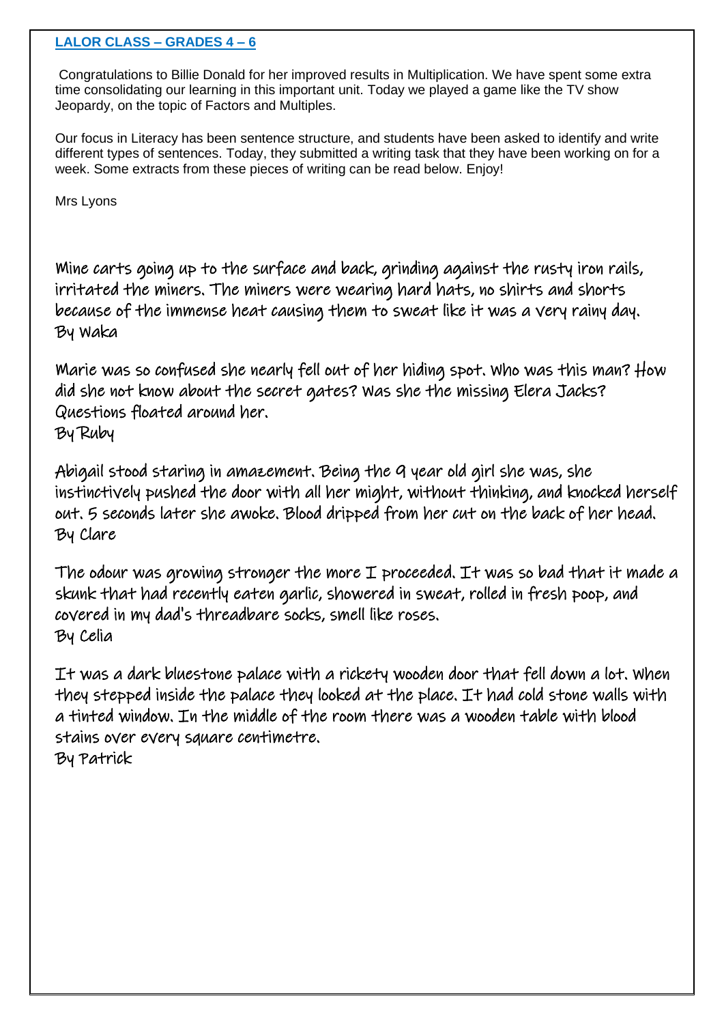#### **LALOR CLASS – GRADES 4 – 6**

Congratulations to Billie Donald for her improved results in Multiplication. We have spent some extra time consolidating our learning in this important unit. Today we played a game like the TV show Jeopardy, on the topic of Factors and Multiples.

Our focus in Literacy has been sentence structure, and students have been asked to identify and write different types of sentences. Today, they submitted a writing task that they have been working on for a week. Some extracts from these pieces of writing can be read below. Enjoy!

Mrs Lyons

Mine carts going up to the surface and back, grinding against the rusty iron rails, irritated the miners. The miners were wearing hard hats, no shirts and shorts because of the immense heat causing them to sweat like it was a very rainy day. By Waka

Marie was so confused she nearly fell out of her hiding spot. Who was this man? How did she not know about the secret gates? Was she the missing Elera Jacks? Questions floated around her. By Ruby

Abigail stood staring in amazement. Being the 9 year old girl she was, she instinctively pushed the door with all her might, without thinking, and knocked herself out. 5 seconds later she awoke. Blood dripped from her cut on the back of her head. By Clare

The odour was growing stronger the more I proceeded. It was so bad that it made a skunk that had recently eaten garlic, showered in sweat, rolled in fresh poop, and covered in my dad's threadbare socks, smell like roses. By Celia

It was a dark bluestone palace with a rickety wooden door that fell down a lot. When they stepped inside the palace they looked at the place. It had cold stone walls with a tinted window. In the middle of the room there was a wooden table with blood stains over every square centimetre. By Patrick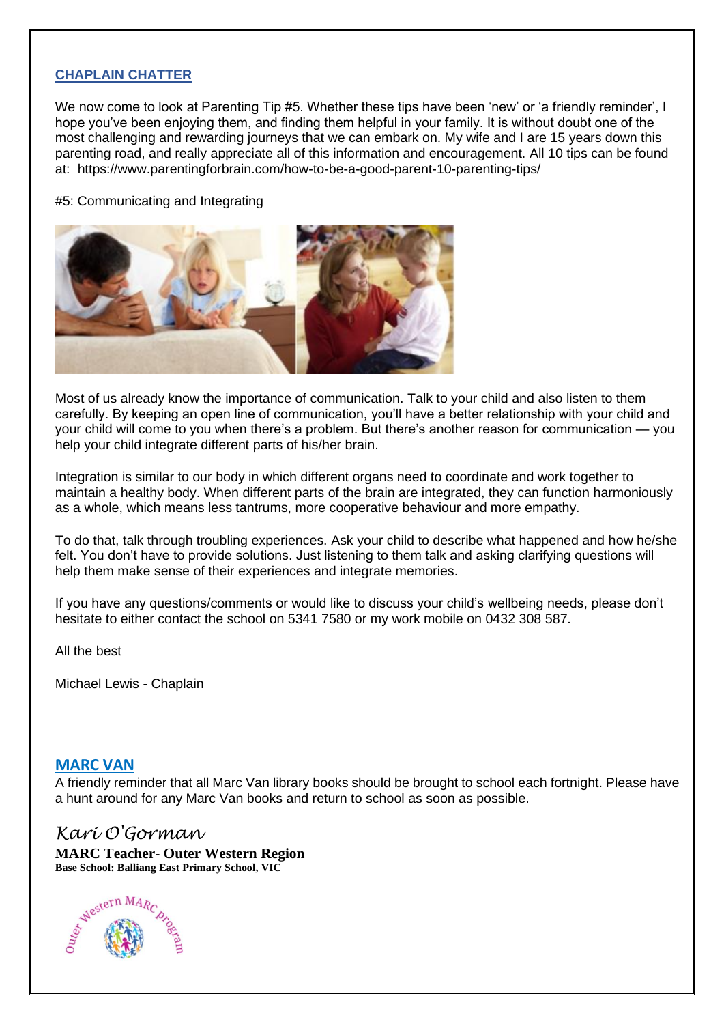#### **CHAPLAIN CHATTER**

We now come to look at Parenting Tip #5. Whether these tips have been 'new' or 'a friendly reminder', I hope you've been enjoying them, and finding them helpful in your family. It is without doubt one of the most challenging and rewarding journeys that we can embark on. My wife and I are 15 years down this parenting road, and really appreciate all of this information and encouragement. All 10 tips can be found at: https://www.parentingforbrain.com/how-to-be-a-good-parent-10-parenting-tips/

#5: Communicating and Integrating



Most of us already know the importance of communication. Talk to your child and also listen to them carefully. By keeping an open line of communication, you'll have a better relationship with your child and your child will come to you when there's a problem. But there's another reason for communication — you help your child integrate different parts of his/her brain.

Integration is similar to our body in which different organs need to coordinate and work together to maintain a healthy body. When different parts of the brain are integrated, they can function harmoniously as a whole, which means less tantrums, more cooperative behaviour and more empathy.

To do that, talk through troubling experiences. Ask your child to describe what happened and how he/she felt. You don't have to provide solutions. Just listening to them talk and asking clarifying questions will help them make sense of their experiences and integrate memories.

If you have any questions/comments or would like to discuss your child's wellbeing needs, please don't hesitate to either contact the school on 5341 7580 or my work mobile on 0432 308 587.

All the best

Michael Lewis - Chaplain

#### **MARC VAN**

A friendly reminder that all Marc Van library books should be brought to school each fortnight. Please have a hunt around for any Marc Van books and return to school as soon as possible.

## *Kari O'Gorman*

**MARC Teacher- Outer Western Region Base School: Balliang East Primary School, VIC**